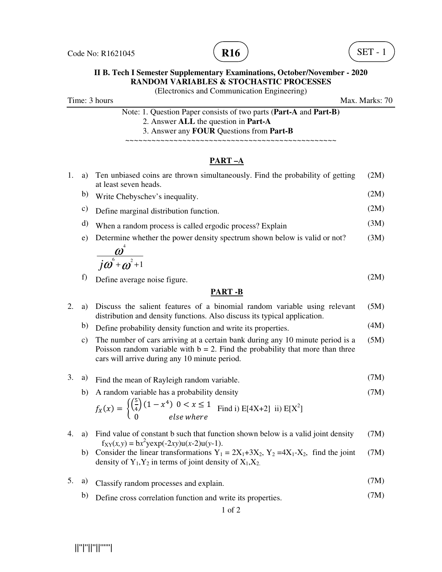



## **II B. Tech I Semester Supplementary Examinations, October/November - 2020 RANDOM VARIABLES & STOCHASTIC PROCESSES**

(Electronics and Communication Engineering)

Time: 3 hours Max. Marks: 70

| Note: 1. Question Paper consists of two parts (Part-A and Part-B) |
|-------------------------------------------------------------------|
| 2. Answer ALL the question in Part-A                              |
| 3. Answer any <b>FOUR</b> Questions from <b>Part-B</b>            |

~~~~~~~~~~~~~~~~~~~~~~~~~~~~~~~~~~~~~~~~~~~~~~~~

## **PART –A**

| PART .R |    |                                                                                                        |      |  |
|---------|----|--------------------------------------------------------------------------------------------------------|------|--|
|         | f) | Define average noise figure.                                                                           | (2M) |  |
|         |    | $\overline{j\omega}^6 + \omega^2 + 1$                                                                  |      |  |
|         | e) | Determine whether the power density spectrum shown below is valid or not?                              | (3M) |  |
|         | d) | When a random process is called ergodic process? Explain                                               | (3M) |  |
|         | C) | Define marginal distribution function.                                                                 | (2M) |  |
|         | b) | Write Chebyschev's inequality.                                                                         | (2M) |  |
| 1.      | a) | Ten unbiased coins are thrown simultaneously. Find the probability of getting<br>at least seven heads. | (2M) |  |
|         |    |                                                                                                        |      |  |

### **PART -B**

- 2. a) Discuss the salient features of a binomial random variable using relevant distribution and density functions. Also discuss its typical application. (5M)
	- b) Define probability density function and write its properties. (4M)
	- c) The number of cars arriving at a certain bank during any 10 minute period is a Poisson random variable with  $b = 2$ . Find the probability that more than three cars will arrive during any 10 minute period. (5M)

## 3. a) Find the mean of Rayleigh random variable. (7M)

b) A random variable has a probability density  $(15)$ (7M)

$$
f_X(x) = \begin{cases} \left(\frac{3}{4}\right)(1 - x^4) & 0 < x \le 1\\ 0 & \text{else where} \end{cases} \quad \text{Find i) } E[4X + 2] \text{ ii) } E[X^2]
$$

- 4. a) Find value of constant b such that function shown below is a valid joint density  $f_{XY}(x, y) = bx^2 y \exp(-2xy) u(x-2) u(y-1).$ (7M)
	- b) Consider the linear transformations  $Y_1 = 2X_1+3X_2$ ,  $Y_2 = 4X_1-X_2$ , find the joint density of  $Y_1, Y_2$  in terms of joint density of  $X_1, X_2$ . (7M)
- 5. a) Classify random processes and explain. (7M)
	- b) Define cross correlation function and write its properties. (7M)